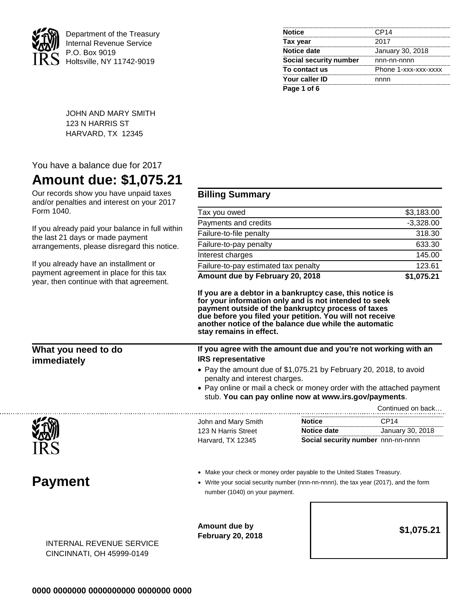

Department of the Treasury Internal Revenue Service P.O. Box 9019 Holtsville, NY 11742-9019

| <b>Notice</b>          | CP14                 |
|------------------------|----------------------|
| Tax year               | 2017                 |
| <b>Notice date</b>     | January 30, 2018     |
| Social security number | nnn-nn-nnnn          |
| To contact us          | Phone 1-xxx-xxx-xxxx |
| Your caller ID         | nnnn                 |
| Page 1 of 6            |                      |

JOHN AND MARY SMITH 123 N HARRIS ST HARVARD, TX 12345

## You have a balance due for 2017

## **Amount due: \$1,075.21**

Our records show you have unpaid taxes and/or penalties and interest on your 2017 Form 1040.

If you already paid your balance in full within the last 21 days or made payment arrangements, please disregard this notice.

If you already have an installment or payment agreement in place for this tax year, then continue with that agreement.

## **Billing Summary**

| Amount due by February 20, 2018      | \$1,075.21  |
|--------------------------------------|-------------|
| Failure-to-pay estimated tax penalty | 123.61      |
| Interest charges                     | 145.00      |
| Failure-to-pay penalty               | 633.30      |
| Failure-to-file penalty              | 318.30      |
| Payments and credits                 | $-3,328.00$ |
| Tax you owed                         | \$3,183.00  |
|                                      |             |

**If you are a debtor in a bankruptcy case, this notice is for your information only and is not intended to seek payment outside of the bankruptcy process of taxes due before you filed your petition. You will not receive another notice of the balance due while the automatic stay remains in effect.**

| What you need to do<br>immediately<br>秘 | If you agree with the amount due and you're not working with an<br><b>IRS representative</b> |                                                                                                                                                                                                                                      |                                    |  |
|-----------------------------------------|----------------------------------------------------------------------------------------------|--------------------------------------------------------------------------------------------------------------------------------------------------------------------------------------------------------------------------------------|------------------------------------|--|
|                                         |                                                                                              | • Pay the amount due of \$1,075.21 by February 20, 2018, to avoid<br>penalty and interest charges.<br>• Pay online or mail a check or money order with the attached payment<br>stub. You can pay online now at www.irs.gov/payments. |                                    |  |
|                                         |                                                                                              |                                                                                                                                                                                                                                      | Continued on back                  |  |
|                                         | John and Mary Smith                                                                          | <b>Notice</b>                                                                                                                                                                                                                        | CP <sub>14</sub>                   |  |
|                                         | 123 N Harris Street                                                                          | Notice date                                                                                                                                                                                                                          | January 30, 2018                   |  |
|                                         | Harvard, TX 12345                                                                            |                                                                                                                                                                                                                                      | Social security number nnn-nn-nnnn |  |

**Payment**

- Make your check or money order payable to the United States Treasury.
- Write your social security number (nnn-nn-nnnn), the tax year (2017), and the form number (1040) on your payment.

**Amount due by February 20, 2018 \$1,075.21**

INTERNAL REVENUE SERVICE CINCINNATI, OH 45999-0149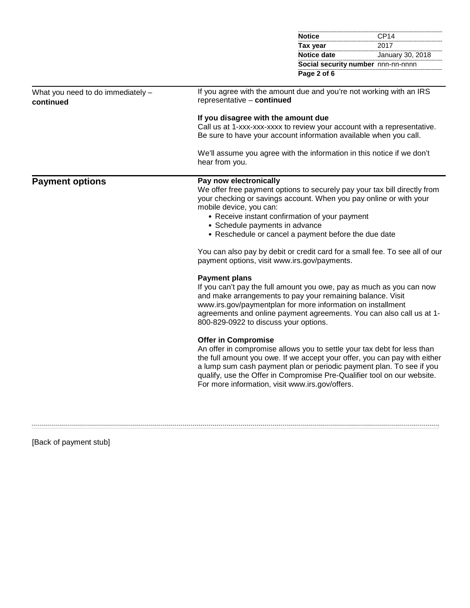|                                                |                                                                                                                                                                                                                                                                                                                                                                                                                                                                                                                                                                                                                                                                                                                                                                                                                                                                                                                                                                                                                  | <b>Notice</b>      | CP <sub>14</sub>                                                                                                                                                                                                             |
|------------------------------------------------|------------------------------------------------------------------------------------------------------------------------------------------------------------------------------------------------------------------------------------------------------------------------------------------------------------------------------------------------------------------------------------------------------------------------------------------------------------------------------------------------------------------------------------------------------------------------------------------------------------------------------------------------------------------------------------------------------------------------------------------------------------------------------------------------------------------------------------------------------------------------------------------------------------------------------------------------------------------------------------------------------------------|--------------------|------------------------------------------------------------------------------------------------------------------------------------------------------------------------------------------------------------------------------|
|                                                |                                                                                                                                                                                                                                                                                                                                                                                                                                                                                                                                                                                                                                                                                                                                                                                                                                                                                                                                                                                                                  | Tax year           | 2017                                                                                                                                                                                                                         |
|                                                |                                                                                                                                                                                                                                                                                                                                                                                                                                                                                                                                                                                                                                                                                                                                                                                                                                                                                                                                                                                                                  | <b>Notice date</b> | January 30, 2018                                                                                                                                                                                                             |
|                                                |                                                                                                                                                                                                                                                                                                                                                                                                                                                                                                                                                                                                                                                                                                                                                                                                                                                                                                                                                                                                                  |                    | Social security number nnn-nn-nnnn                                                                                                                                                                                           |
|                                                |                                                                                                                                                                                                                                                                                                                                                                                                                                                                                                                                                                                                                                                                                                                                                                                                                                                                                                                                                                                                                  | Page 2 of 6        |                                                                                                                                                                                                                              |
| What you need to do immediately -<br>continued | If you agree with the amount due and you're not working with an IRS<br>representative - continued                                                                                                                                                                                                                                                                                                                                                                                                                                                                                                                                                                                                                                                                                                                                                                                                                                                                                                                |                    |                                                                                                                                                                                                                              |
|                                                | If you disagree with the amount due<br>Be sure to have your account information available when you call.                                                                                                                                                                                                                                                                                                                                                                                                                                                                                                                                                                                                                                                                                                                                                                                                                                                                                                         |                    | Call us at 1-xxx-xxx-xxxx to review your account with a representative.                                                                                                                                                      |
|                                                | hear from you.                                                                                                                                                                                                                                                                                                                                                                                                                                                                                                                                                                                                                                                                                                                                                                                                                                                                                                                                                                                                   |                    |                                                                                                                                                                                                                              |
| <b>Payment options</b>                         | We'll assume you agree with the information in this notice if we don't<br>Pay now electronically<br>We offer free payment options to securely pay your tax bill directly from<br>your checking or savings account. When you pay online or with your<br>mobile device, you can:<br>• Receive instant confirmation of your payment<br>• Schedule payments in advance<br>• Reschedule or cancel a payment before the due date<br>You can also pay by debit or credit card for a small fee. To see all of our<br>payment options, visit www.irs.gov/payments.<br><b>Payment plans</b><br>If you can't pay the full amount you owe, pay as much as you can now<br>and make arrangements to pay your remaining balance. Visit<br>www.irs.gov/paymentplan for more information on installment<br>agreements and online payment agreements. You can also call us at 1-<br>800-829-0922 to discuss your options.<br><b>Offer in Compromise</b><br>An offer in compromise allows you to settle your tax debt for less than |                    |                                                                                                                                                                                                                              |
|                                                | For more information, visit www.irs.gov/offers.                                                                                                                                                                                                                                                                                                                                                                                                                                                                                                                                                                                                                                                                                                                                                                                                                                                                                                                                                                  |                    | the full amount you owe. If we accept your offer, you can pay with either<br>a lump sum cash payment plan or periodic payment plan. To see if you<br>qualify, use the Offer in Compromise Pre-Qualifier tool on our website. |
|                                                |                                                                                                                                                                                                                                                                                                                                                                                                                                                                                                                                                                                                                                                                                                                                                                                                                                                                                                                                                                                                                  |                    |                                                                                                                                                                                                                              |

[Back of payment stub]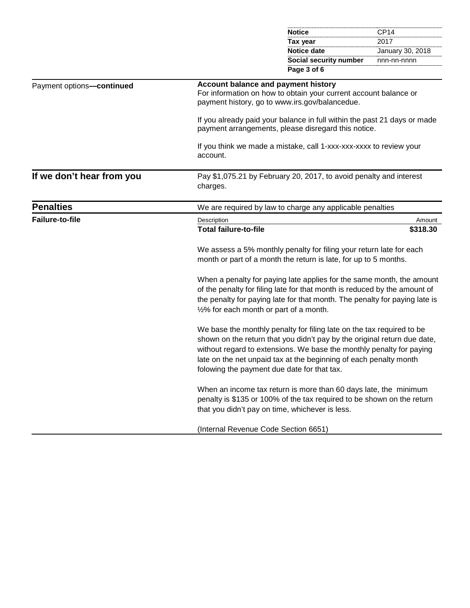|                           |                                                                                                                                                                                                                                                                                                                                               | <b>Notice</b>                                                                                                                                                                                                                    | CP <sub>14</sub> |
|---------------------------|-----------------------------------------------------------------------------------------------------------------------------------------------------------------------------------------------------------------------------------------------------------------------------------------------------------------------------------------------|----------------------------------------------------------------------------------------------------------------------------------------------------------------------------------------------------------------------------------|------------------|
|                           |                                                                                                                                                                                                                                                                                                                                               | Tax year                                                                                                                                                                                                                         | 2017             |
|                           |                                                                                                                                                                                                                                                                                                                                               | <b>Notice date</b>                                                                                                                                                                                                               | January 30, 2018 |
|                           |                                                                                                                                                                                                                                                                                                                                               | Social security number                                                                                                                                                                                                           | nnn-nn-nnnn      |
|                           |                                                                                                                                                                                                                                                                                                                                               | Page 3 of 6                                                                                                                                                                                                                      |                  |
| Payment options-continued | Account balance and payment history                                                                                                                                                                                                                                                                                                           | For information on how to obtain your current account balance or<br>payment history, go to www.irs.gov/balancedue.                                                                                                               |                  |
|                           |                                                                                                                                                                                                                                                                                                                                               | If you already paid your balance in full within the past 21 days or made<br>payment arrangements, please disregard this notice.                                                                                                  |                  |
|                           | account.                                                                                                                                                                                                                                                                                                                                      | If you think we made a mistake, call 1-xxx-xxx-xxxx to review your                                                                                                                                                               |                  |
| If we don't hear from you | charges.                                                                                                                                                                                                                                                                                                                                      | Pay \$1,075.21 by February 20, 2017, to avoid penalty and interest                                                                                                                                                               |                  |
| <b>Penalties</b>          |                                                                                                                                                                                                                                                                                                                                               | We are required by law to charge any applicable penalties                                                                                                                                                                        |                  |
| <b>Failure-to-file</b>    | Description                                                                                                                                                                                                                                                                                                                                   |                                                                                                                                                                                                                                  | Amount           |
|                           | <b>Total failure-to-file</b>                                                                                                                                                                                                                                                                                                                  |                                                                                                                                                                                                                                  | \$318.30         |
|                           |                                                                                                                                                                                                                                                                                                                                               | We assess a 5% monthly penalty for filing your return late for each<br>month or part of a month the return is late, for up to 5 months.                                                                                          |                  |
|                           | 1/2% for each month or part of a month.                                                                                                                                                                                                                                                                                                       | When a penalty for paying late applies for the same month, the amount<br>of the penalty for filing late for that month is reduced by the amount of<br>the penalty for paying late for that month. The penalty for paying late is |                  |
|                           | We base the monthly penalty for filing late on the tax required to be<br>shown on the return that you didn't pay by the original return due date,<br>without regard to extensions. We base the monthly penalty for paying<br>late on the net unpaid tax at the beginning of each penalty month<br>folowing the payment due date for that tax. |                                                                                                                                                                                                                                  |                  |
|                           | that you didn't pay on time, whichever is less.                                                                                                                                                                                                                                                                                               | When an income tax return is more than 60 days late, the minimum<br>penalty is \$135 or 100% of the tax required to be shown on the return                                                                                       |                  |
|                           | (Internal Revenue Code Section 6651)                                                                                                                                                                                                                                                                                                          |                                                                                                                                                                                                                                  |                  |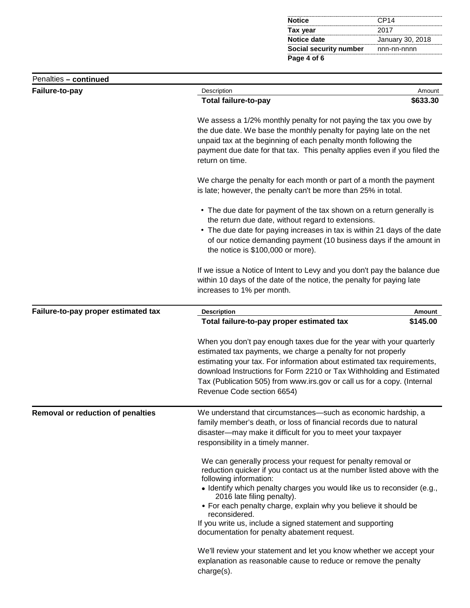| <b>Notice</b>                             | CP <sub>14</sub> |
|-------------------------------------------|------------------|
| Tax year                                  | 2017             |
| Notice date                               | January 30, 2018 |
| <b>Social security number</b> nnn-nn-nnnn |                  |
| Page 4 of 6                               |                  |

| Penalties - continued                    |                                                                                                                                                                                                                                                                                                                                                                                                                                                                                                                                                     |          |  |
|------------------------------------------|-----------------------------------------------------------------------------------------------------------------------------------------------------------------------------------------------------------------------------------------------------------------------------------------------------------------------------------------------------------------------------------------------------------------------------------------------------------------------------------------------------------------------------------------------------|----------|--|
| Failure-to-pay                           | Description<br>Amount                                                                                                                                                                                                                                                                                                                                                                                                                                                                                                                               |          |  |
|                                          | <b>Total failure-to-pay</b>                                                                                                                                                                                                                                                                                                                                                                                                                                                                                                                         | \$633.30 |  |
|                                          | We assess a 1/2% monthly penalty for not paying the tax you owe by<br>the due date. We base the monthly penalty for paying late on the net<br>unpaid tax at the beginning of each penalty month following the<br>payment due date for that tax. This penalty applies even if you filed the<br>return on time.                                                                                                                                                                                                                                       |          |  |
|                                          | We charge the penalty for each month or part of a month the payment<br>is late; however, the penalty can't be more than 25% in total.                                                                                                                                                                                                                                                                                                                                                                                                               |          |  |
|                                          | • The due date for payment of the tax shown on a return generally is<br>the return due date, without regard to extensions.<br>• The due date for paying increases in tax is within 21 days of the date<br>of our notice demanding payment (10 business days if the amount in<br>the notice is \$100,000 or more).                                                                                                                                                                                                                                   |          |  |
|                                          | If we issue a Notice of Intent to Levy and you don't pay the balance due<br>within 10 days of the date of the notice, the penalty for paying late<br>increases to 1% per month.                                                                                                                                                                                                                                                                                                                                                                     |          |  |
| Failure-to-pay proper estimated tax      | <b>Description</b>                                                                                                                                                                                                                                                                                                                                                                                                                                                                                                                                  | Amount   |  |
|                                          | Total failure-to-pay proper estimated tax                                                                                                                                                                                                                                                                                                                                                                                                                                                                                                           | \$145.00 |  |
|                                          | When you don't pay enough taxes due for the year with your quarterly<br>estimated tax payments, we charge a penalty for not properly<br>estimating your tax. For information about estimated tax requirements,<br>download Instructions for Form 2210 or Tax Withholding and Estimated<br>Tax (Publication 505) from www.irs.gov or call us for a copy. (Internal<br>Revenue Code section 6654)                                                                                                                                                     |          |  |
| <b>Removal or reduction of penalties</b> | We understand that circumstances-such as economic hardship, a<br>family member's death, or loss of financial records due to natural<br>disaster-may make it difficult for you to meet your taxpayer<br>responsibility in a timely manner.                                                                                                                                                                                                                                                                                                           |          |  |
|                                          | We can generally process your request for penalty removal or<br>reduction quicker if you contact us at the number listed above with the<br>following information:<br>• Identify which penalty charges you would like us to reconsider (e.g.,<br>2016 late filing penalty).<br>• For each penalty charge, explain why you believe it should be<br>reconsidered.<br>If you write us, include a signed statement and supporting<br>documentation for penalty abatement request.<br>We'll review your statement and let you know whether we accept your |          |  |
|                                          | explanation as reasonable cause to reduce or remove the penalty<br>charge(s).                                                                                                                                                                                                                                                                                                                                                                                                                                                                       |          |  |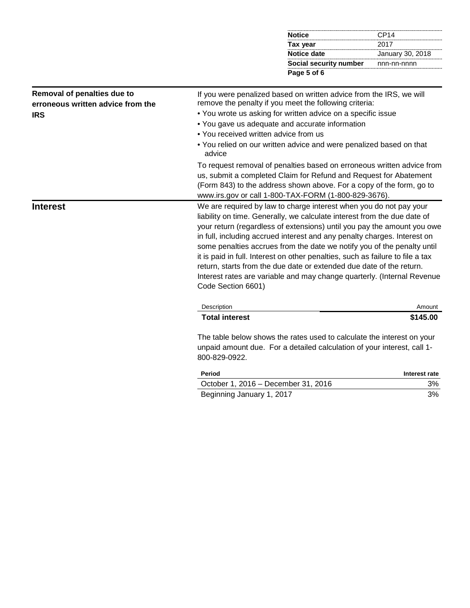| <b>Notice</b>          | CP <sub>14</sub> |
|------------------------|------------------|
| Tax year               | 2017             |
| Notice date            | January 30, 2018 |
| Social security number | nnn-nn-nnnn      |
| Page 5 of 6            |                  |

## **Removal of penalties due to erroneous written advice from the IRS**

If you were penalized based on written advice from the IRS, we will remove the penalty if you meet the following criteria:

- You wrote us asking for written advice on a specific issue
- You gave us adequate and accurate information
- You received written advice from us
- You relied on our written advice and were penalized based on that advice

To request removal of penalties based on erroneous written advice from us, submit a completed Claim for Refund and Request for Abatement (Form 843) to the address shown above. For a copy of the form, go to www.irs.gov or call 1-800-TAX-FORM (1-800-829-3676).

**Interest** Me are required by law to charge interest when you do not pay your liability on time. Generally, we calculate interest from the due date of your return (regardless of extensions) until you pay the amount you owe in full, including accrued interest and any penalty charges. Interest on some penalties accrues from the date we notify you of the penalty until it is paid in full. Interest on other penalties, such as failure to file a tax return, starts from the due date or extended due date of the return. Interest rates are variable and may change quarterly. (Internal Revenue Code Section 6601)

| Description           | Amount   |
|-----------------------|----------|
| <b>Total interest</b> | \$145.00 |

The table below shows the rates used to calculate the interest on your unpaid amount due. For a detailed calculation of your interest, call 1- 800-829-0922.

| <b>Period</b>                       | Interest rate |
|-------------------------------------|---------------|
| October 1, 2016 – December 31, 2016 | 3%            |
| Beginning January 1, 2017           | 3%            |